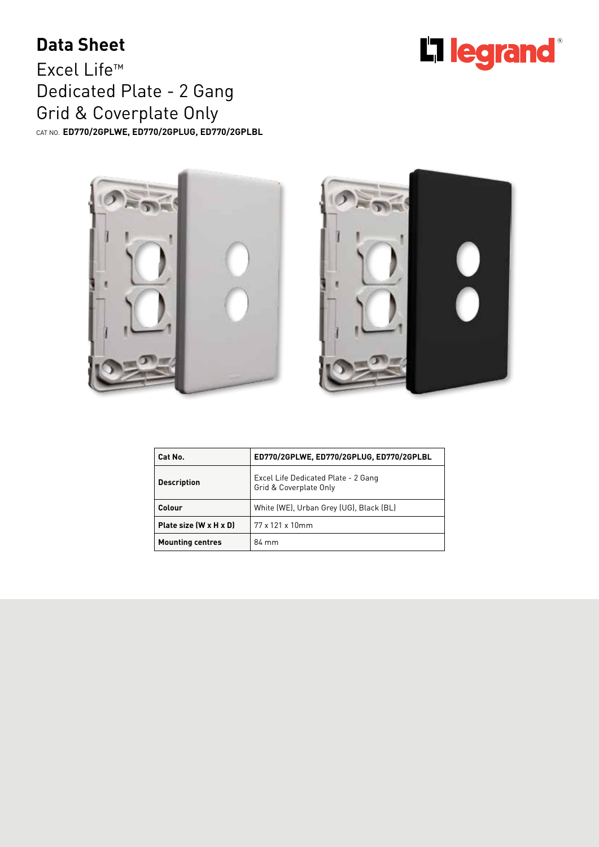## **Data Sheet**

Excel Life™ Dedicated Plate - 2 Gang Grid & Coverplate Only CAT NO. **ED770/2GPLWE, ED770/2GPLUG, ED770/2GPLBL**





| Cat No.                 | ED770/2GPLWE, ED770/2GPLUG, ED770/2GPLBL                      |  |
|-------------------------|---------------------------------------------------------------|--|
| <b>Description</b>      | Excel Life Dedicated Plate - 2 Gang<br>Grid & Coverplate Only |  |
| Colour                  | White (WE), Urban Grey (UG), Black (BL)                       |  |
| Plate size (W x H x D)  | $77 \times 121 \times 10$ mm                                  |  |
| <b>Mounting centres</b> | 84 mm                                                         |  |